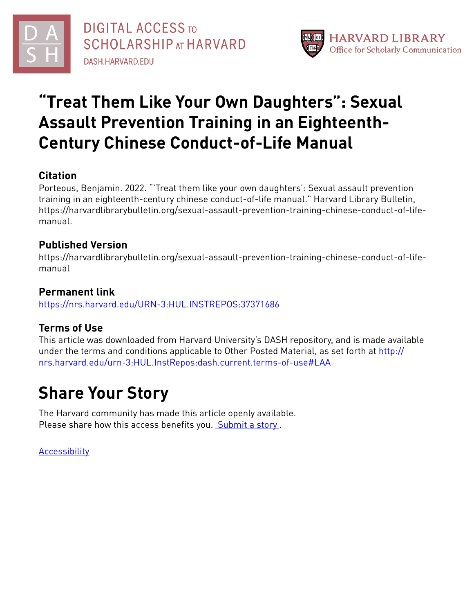

# **"Treat Them Like Your Own Daughters" : Sexual Assault Prevention Training in an Eighteenth-Century Chinese Conduct-of-Life Manual**

## **Citation**

Porteous, Benjamin. 2022. "'Treat them like your own daughters': Sexual assault prevention training in an eighteenth-century chinese conduct-of-life manual." Harvard Library Bulletin, https://harvardlibrarybulletin.org/sexual-assault-prevention-training-chinese-conduct-of-lifemanual.

## **Published Version**

https://harvardlibrarybulletin.org/sexual-assault-prevention-training-chinese-conduct-of-lifemanual

## **Permanent link**

<https://nrs.harvard.edu/URN-3:HUL.INSTREPOS:37371686>

## **Terms of Use**

This article was downloaded from Harvard University's DASH repository, and is made available under the terms and conditions applicable to Other Posted Material, as set forth at [http://](http://nrs.harvard.edu/urn-3:HUL.InstRepos:dash.current.terms-of-use#LAA) [nrs.harvard.edu/urn-3:HUL.InstRepos:dash.current.terms-of-use#LAA](http://nrs.harvard.edu/urn-3:HUL.InstRepos:dash.current.terms-of-use#LAA)

# **Share Your Story**

The Harvard community has made this article openly available. Please share how this access benefits you. [Submit](http://osc.hul.harvard.edu/dash/open-access-feedback?handle=&title=%E2%80%9CTreat%20Them%20Like%20Your%20Own%20Daughters%E2%80%9D:%20Sexual%20Assault%20Prevention%20Training%20in%20an%20Eighteenth-Century%20Chinese%20Conduct-of-Life%20Manual&community=1/37363084&collection=1/37363085&owningCollection1/37363085&harvardAuthors=ad8f88b37f720f2db7e7fe9568209d84&department) a story.

**[Accessibility](https://dash.harvard.edu/pages/accessibility)**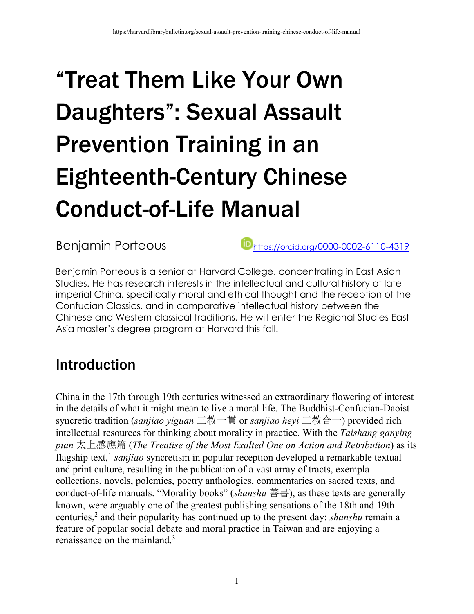# "Treat Them Like Your Own Daughters": Sexual Assault Prevention Training in an Eighteenth-Century Chinese Conduct-of-Life Manual

Benjamin Porteous **https://orcid.org/0000-0002-6110-4319** 

Benjamin Porteous is a senior at Harvard College, concentrating in East Asian Studies. He has research interests in the intellectual and cultural history of late imperial China, specifically moral and ethical thought and the reception of the Confucian Classics, and in comparative intellectual history between the Chinese and Western classical traditions. He will enter the Regional Studies East Asia master's degree program at Harvard this fall.

## Introduction

China in the 17th through 19th centuries witnessed an extraordinary flowering of interest in the details of what it might mean to live a moral life. The Buddhist-Confucian-Daoist syncretic tradition (*sanjiao yiguan* 三教一貫 or *sanjiao heyi* 三教合一) provided rich intellectual resources for thinking about morality in practice. With the *Taishang ganying pian* 太上感應篇 (*The Treatise of the Most Exalted One on Action and Retribution*) as its flagship text,<sup>1</sup> *sanjiao* syncretism in popular reception developed a remarkable textual and print culture, resulting in the publication of a vast array of tracts, exempla collections, novels, polemics, poetry anthologies, commentaries on sacred texts, and conduct-of-life manuals. "Morality books" (*shanshu* 善書), as these texts are generally known, were arguably one of the greatest publishing sensations of the 18th and 19th centuries, <sup>2</sup> and their popularity has continued up to the present day: *shanshu* remain a feature of popular social debate and moral practice in Taiwan and are enjoying a renaissance on the mainland.<sup>3</sup>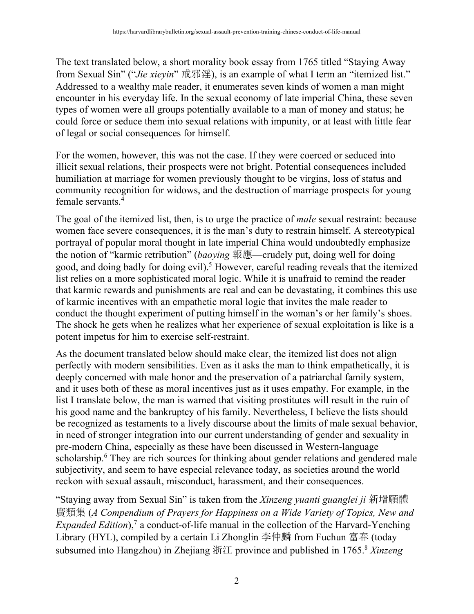The text translated below, a short morality book essay from 1765 titled "Staying Away from Sexual Sin" ("*Jie xieyin*" 戒邪淫), is an example of what I term an "itemized list." Addressed to a wealthy male reader, it enumerates seven kinds of women a man might encounter in his everyday life. In the sexual economy of late imperial China, these seven types of women were all groups potentially available to a man of money and status; he could force or seduce them into sexual relations with impunity, or at least with little fear of legal or social consequences for himself.

For the women, however, this was not the case. If they were coerced or seduced into illicit sexual relations, their prospects were not bright. Potential consequences included humiliation at marriage for women previously thought to be virgins, loss of status and community recognition for widows, and the destruction of marriage prospects for young female servants  $\frac{4}{7}$ 

The goal of the itemized list, then, is to urge the practice of *male* sexual restraint: because women face severe consequences, it is the man's duty to restrain himself. A stereotypical portrayal of popular moral thought in late imperial China would undoubtedly emphasize the notion of "karmic retribution" (*baoying* 報應—crudely put, doing well for doing good, and doing badly for doing evil).<sup>5</sup> However, careful reading reveals that the itemized list relies on a more sophisticated moral logic. While it is unafraid to remind the reader that karmic rewards and punishments are real and can be devastating, it combines this use of karmic incentives with an empathetic moral logic that invites the male reader to conduct the thought experiment of putting himself in the woman's or her family's shoes. The shock he gets when he realizes what her experience of sexual exploitation is like is a potent impetus for him to exercise self-restraint.

As the document translated below should make clear, the itemized list does not align perfectly with modern sensibilities. Even as it asks the man to think empathetically, it is deeply concerned with male honor and the preservation of a patriarchal family system, and it uses both of these as moral incentives just as it uses empathy. For example, in the list I translate below, the man is warned that visiting prostitutes will result in the ruin of his good name and the bankruptcy of his family. Nevertheless, I believe the lists should be recognized as testaments to a lively discourse about the limits of male sexual behavior, in need of stronger integration into our current understanding of gender and sexuality in pre-modern China, especially as these have been discussed in Western-language scholarship.<sup>6</sup> They are rich sources for thinking about gender relations and gendered male subjectivity, and seem to have especial relevance today, as societies around the world reckon with sexual assault, misconduct, harassment, and their consequences.

"Staying away from Sexual Sin" is taken from the *Xinzeng yuanti guanglei ji* 新增願體 廣類集 (*A Compendium of Prayers for Happiness on a Wide Variety of Topics, New and Expanded Edition*),<sup>7</sup> a conduct-of-life manual in the collection of the Harvard-Yenching Library (HYL), compiled by a certain Li Zhonglin 李仲麟 from Fuchun 富春 (today subsumed into Hangzhou) in Zhejiang 浙江 province and published in 1765.8 *Xinzeng*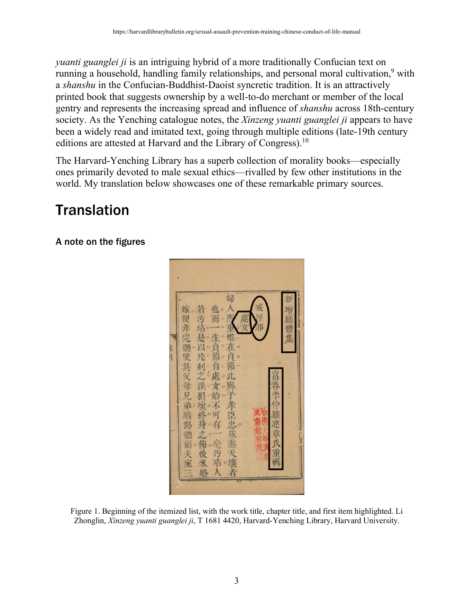*yuanti guanglei ji* is an intriguing hybrid of a more traditionally Confucian text on running a household, handling family relationships, and personal moral cultivation,<sup>9</sup> with a *shanshu* in the Confucian-Buddhist-Daoist syncretic tradition. It is an attractively printed book that suggests ownership by a well-to-do merchant or member of the local gentry and represents the increasing spread and influence of *shanshu* across 18th-century society. As the Yenching catalogue notes, the *Xinzeng yuanti guanglei ji* appears to have been a widely read and imitated text, going through multiple editions (late-19th century editions are attested at Harvard and the Library of Congress).<sup>10</sup>

The Harvard-Yenching Library has a superb collection of morality books—especially ones primarily devoted to male sexual ethics—rivalled by few other institutions in the world. My translation below showcases one of these remarkable primary sources.

# **Translation**

A note on the figures



Figure 1. Beginning of the itemized list, with the work title, chapter title, and first item highlighted. Li Zhonglin, *Xinzeng yuanti guanglei ji*, T 1681 4420, Harvard-Yenching Library, Harvard University.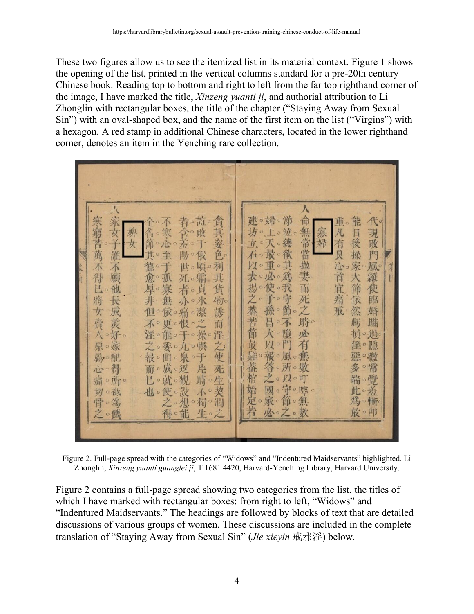These two figures allow us to see the itemized list in its material context. Figure 1 shows the opening of the list, printed in the vertical columns standard for a pre-20th century Chinese book. Reading top to bottom and right to left from the far top righthand corner of the image, I have marked the title, *Xinzeng yuanti ji*, and authorial attribution to Li Zhonglin with rectangular boxes, the title of the chapter ("Staying Away from Sexual Sin") with an oval-shaped box, and the name of the first item on the list ("Virgins") with a hexagon. A red stamp in additional Chinese characters, located in the lower righthand corner, denotes an item in the Yenching rare collection.



Figure 2. Full-page spread with the categories of "Widows" and "Indentured Maidservants" highlighted. Li Zhonglin, *Xinzeng yuanti guanglei ji*, T 1681 4420, Harvard-Yenching Library, Harvard University.

Figure 2 contains a full-page spread showing two categories from the list, the titles of which I have marked with rectangular boxes: from right to left, "Widows" and "Indentured Maidservants." The headings are followed by blocks of text that are detailed discussions of various groups of women. These discussions are included in the complete translation of "Staying Away from Sexual Sin" (*Jie xieyin* 戒邪淫) below.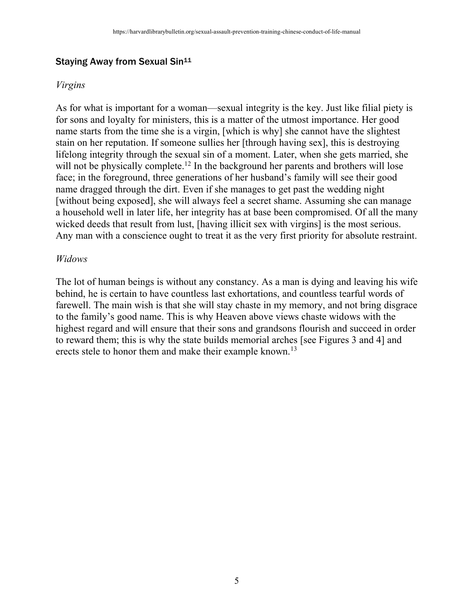#### Staying Away from Sexual Sin<sup>11</sup>

#### *Virgins*

As for what is important for a woman—sexual integrity is the key. Just like filial piety is for sons and loyalty for ministers, this is a matter of the utmost importance. Her good name starts from the time she is a virgin, [which is why] she cannot have the slightest stain on her reputation. If someone sullies her [through having sex], this is destroying lifelong integrity through the sexual sin of a moment. Later, when she gets married, she will not be physically complete.<sup>12</sup> In the background her parents and brothers will lose face; in the foreground, three generations of her husband's family will see their good name dragged through the dirt. Even if she manages to get past the wedding night [without being exposed], she will always feel a secret shame. Assuming she can manage a household well in later life, her integrity has at base been compromised. Of all the many wicked deeds that result from lust, [having illicit sex with virgins] is the most serious. Any man with a conscience ought to treat it as the very first priority for absolute restraint.

#### *Widows*

The lot of human beings is without any constancy. As a man is dying and leaving his wife behind, he is certain to have countless last exhortations, and countless tearful words of farewell. The main wish is that she will stay chaste in my memory, and not bring disgrace to the family's good name. This is why Heaven above views chaste widows with the highest regard and will ensure that their sons and grandsons flourish and succeed in order to reward them; this is why the state builds memorial arches [see Figures 3 and 4] and erects stele to honor them and make their example known.<sup>13</sup>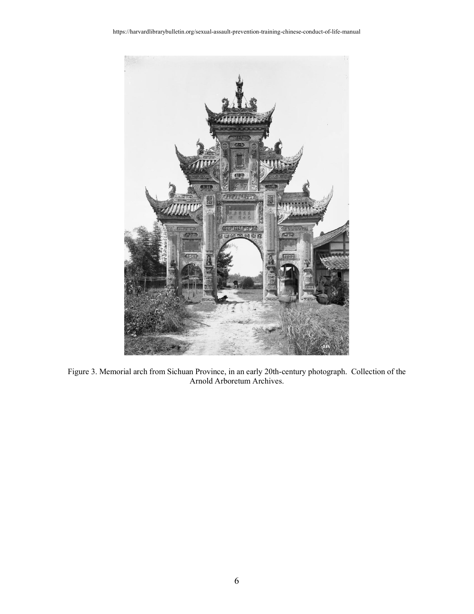

Figure 3. Memorial arch from Sichuan Province, in an early 20th-century photograph. Collection of the Arnold Arboretum Archives.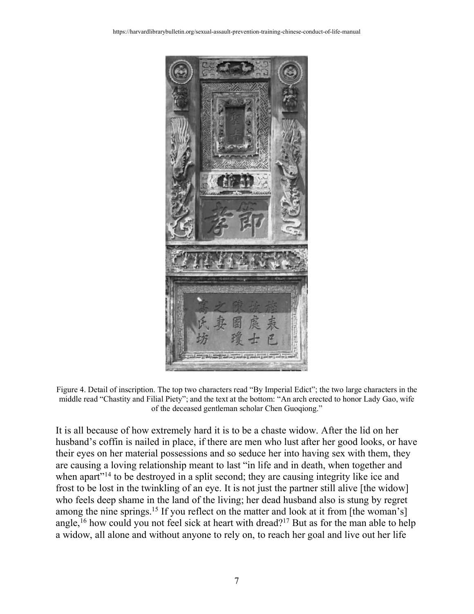

Figure 4. Detail of inscription. The top two characters read "By Imperial Edict"; the two large characters in the middle read "Chastity and Filial Piety"; and the text at the bottom: "An arch erected to honor Lady Gao, wife of the deceased gentleman scholar Chen Guoqiong."

It is all because of how extremely hard it is to be a chaste widow. After the lid on her husband's coffin is nailed in place, if there are men who lust after her good looks, or have their eyes on her material possessions and so seduce her into having sex with them, they are causing a loving relationship meant to last "in life and in death, when together and when apart<sup>"14</sup> to be destroyed in a split second; they are causing integrity like ice and frost to be lost in the twinkling of an eye. It is not just the partner still alive [the widow] who feels deep shame in the land of the living; her dead husband also is stung by regret among the nine springs.<sup>15</sup> If you reflect on the matter and look at it from [the woman's] angle,<sup>16</sup> how could you not feel sick at heart with dread?<sup>17</sup> But as for the man able to help a widow, all alone and without anyone to rely on, to reach her goal and live out her life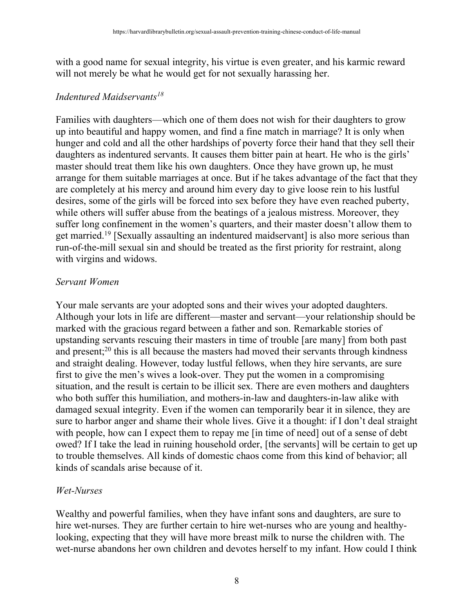with a good name for sexual integrity, his virtue is even greater, and his karmic reward will not merely be what he would get for not sexually harassing her.

#### *Indentured Maidservants18*

Families with daughters—which one of them does not wish for their daughters to grow up into beautiful and happy women, and find a fine match in marriage? It is only when hunger and cold and all the other hardships of poverty force their hand that they sell their daughters as indentured servants. It causes them bitter pain at heart. He who is the girls' master should treat them like his own daughters. Once they have grown up, he must arrange for them suitable marriages at once. But if he takes advantage of the fact that they are completely at his mercy and around him every day to give loose rein to his lustful desires, some of the girls will be forced into sex before they have even reached puberty, while others will suffer abuse from the beatings of a jealous mistress. Moreover, they suffer long confinement in the women's quarters, and their master doesn't allow them to get married.19 [Sexually assaulting an indentured maidservant] is also more serious than run-of-the-mill sexual sin and should be treated as the first priority for restraint, along with virgins and widows.

#### *Servant Women*

Your male servants are your adopted sons and their wives your adopted daughters. Although your lots in life are different—master and servant—your relationship should be marked with the gracious regard between a father and son. Remarkable stories of upstanding servants rescuing their masters in time of trouble [are many] from both past and present;20 this is all because the masters had moved their servants through kindness and straight dealing. However, today lustful fellows, when they hire servants, are sure first to give the men's wives a look-over. They put the women in a compromising situation, and the result is certain to be illicit sex. There are even mothers and daughters who both suffer this humiliation, and mothers-in-law and daughters-in-law alike with damaged sexual integrity. Even if the women can temporarily bear it in silence, they are sure to harbor anger and shame their whole lives. Give it a thought: if I don't deal straight with people, how can I expect them to repay me [in time of need] out of a sense of debt owed? If I take the lead in ruining household order, [the servants] will be certain to get up to trouble themselves. All kinds of domestic chaos come from this kind of behavior; all kinds of scandals arise because of it.

#### *Wet-Nurses*

Wealthy and powerful families, when they have infant sons and daughters, are sure to hire wet-nurses. They are further certain to hire wet-nurses who are young and healthylooking, expecting that they will have more breast milk to nurse the children with. The wet-nurse abandons her own children and devotes herself to my infant. How could I think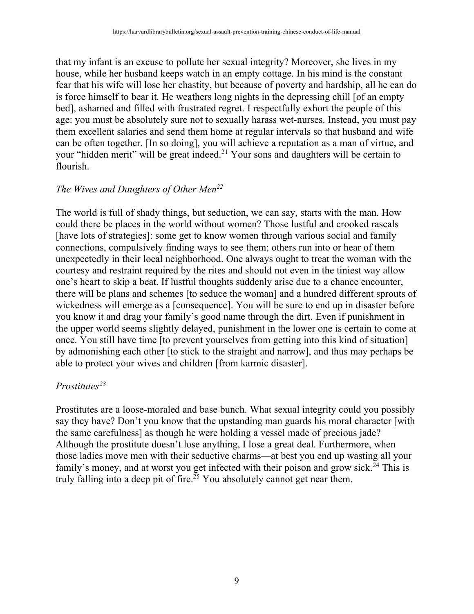that my infant is an excuse to pollute her sexual integrity? Moreover, she lives in my house, while her husband keeps watch in an empty cottage. In his mind is the constant fear that his wife will lose her chastity, but because of poverty and hardship, all he can do is force himself to bear it. He weathers long nights in the depressing chill [of an empty bed], ashamed and filled with frustrated regret. I respectfully exhort the people of this age: you must be absolutely sure not to sexually harass wet-nurses. Instead, you must pay them excellent salaries and send them home at regular intervals so that husband and wife can be often together. [In so doing], you will achieve a reputation as a man of virtue, and your "hidden merit" will be great indeed.<sup>21</sup> Your sons and daughters will be certain to flourish.

#### *The Wives and Daughters of Other Men22*

The world is full of shady things, but seduction, we can say, starts with the man. How could there be places in the world without women? Those lustful and crooked rascals [have lots of strategies]: some get to know women through various social and family connections, compulsively finding ways to see them; others run into or hear of them unexpectedly in their local neighborhood. One always ought to treat the woman with the courtesy and restraint required by the rites and should not even in the tiniest way allow one's heart to skip a beat. If lustful thoughts suddenly arise due to a chance encounter, there will be plans and schemes [to seduce the woman] and a hundred different sprouts of wickedness will emerge as a [consequence]. You will be sure to end up in disaster before you know it and drag your family's good name through the dirt. Even if punishment in the upper world seems slightly delayed, punishment in the lower one is certain to come at once. You still have time [to prevent yourselves from getting into this kind of situation] by admonishing each other [to stick to the straight and narrow], and thus may perhaps be able to protect your wives and children [from karmic disaster].

#### *Prostitutes23*

Prostitutes are a loose-moraled and base bunch. What sexual integrity could you possibly say they have? Don't you know that the upstanding man guards his moral character [with the same carefulness] as though he were holding a vessel made of precious jade? Although the prostitute doesn't lose anything, I lose a great deal. Furthermore, when those ladies move men with their seductive charms—at best you end up wasting all your family's money, and at worst you get infected with their poison and grow sick.<sup>24</sup> This is truly falling into a deep pit of fire.<sup>25</sup> You absolutely cannot get near them.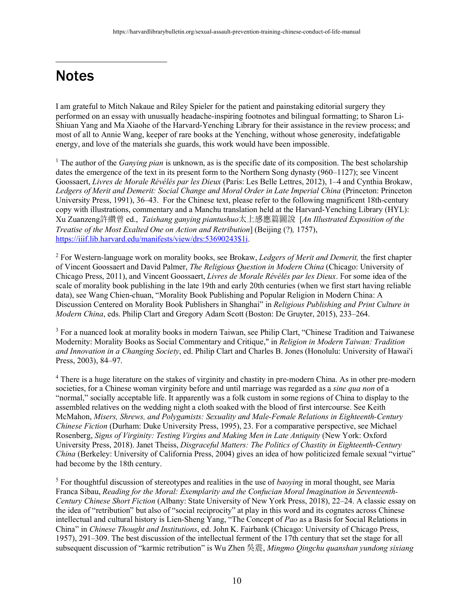## **Notes**

 $\overline{a}$ 

I am grateful to Mitch Nakaue and Riley Spieler for the patient and painstaking editorial surgery they performed on an essay with unusually headache-inspiring footnotes and bilingual formatting; to Sharon Li-Shiuan Yang and Ma Xiaohe of the Harvard-Yenching Library for their assistance in the review process; and most of all to Annie Wang, keeper of rare books at the Yenching, without whose generosity, indefatigable energy, and love of the materials she guards, this work would have been impossible.

<sup>1</sup> The author of the *Ganying pian* is unknown, as is the specific date of its composition. The best scholarship dates the emergence of the text in its present form to the Northern Song dynasty (960–1127); see Vincent Goossaert, *Livres de Morale Révélés par les Dieux* (Paris: Les Belle Lettres, 2012), 1–4 and Cynthia Brokaw, *Ledgers of Merit and Demerit: Social Change and Moral Order in Late Imperial China* (Princeton: Princeton University Press, 1991), 36–43. For the Chinese text, please refer to the following magnificent 18th-century copy with illustrations, commentary and a Manchu translation held at the Harvard-Yenching Library (HYL): Xu Zuanzeng許纘曾 ed., *Taishang ganying piantushuo*太上感應篇圖說 [*An Illustrated Exposition of the Treatise of the Most Exalted One on Action and Retribution*] (Beijing (?)*,* 1757), https://iiif.lib.harvard.edu/manifests/view/drs:53690243\$1i.

<sup>2</sup> For Western-language work on morality books, see Brokaw, *Ledgers of Merit and Demerit,* the first chapter of Vincent Goossaert and David Palmer, *The Religious Question in Modern China* (Chicago: University of Chicago Press, 2011), and Vincent Goossaert, *Livres de Morale Révélés par les Dieux*. For some idea of the scale of morality book publishing in the late 19th and early 20th centuries (when we first start having reliable data), see Wang Chien-chuan, "Morality Book Publishing and Popular Religion in Modern China: A Discussion Centered on Morality Book Publishers in Shanghai" in *Religious Publishing and Print Culture in Modern China*, eds. Philip Clart and Gregory Adam Scott (Boston: De Gruyter, 2015), 233–264.

<sup>3</sup> For a nuanced look at morality books in modern Taiwan, see Philip Clart, "Chinese Tradition and Taiwanese Modernity: Morality Books as Social Commentary and Critique," in *Religion in Modern Taiwan: Tradition and Innovation in a Changing Society*, ed. Philip Clart and Charles B. Jones (Honolulu: University of Hawai'i Press, 2003), 84–97.

<sup>4</sup> There is a huge literature on the stakes of virginity and chastity in pre-modern China. As in other pre-modern societies, for a Chinese woman virginity before and until marriage was regarded as a *sine qua non* of a "normal," socially acceptable life. It apparently was a folk custom in some regions of China to display to the assembled relatives on the wedding night a cloth soaked with the blood of first intercourse. See Keith McMahon, *Misers, Shrews, and Polygamists: Sexuality and Male-Female Relations in Eighteenth-Century Chinese Fiction* (Durham: Duke University Press, 1995), 23. For a comparative perspective, see Michael Rosenberg, *Signs of Virginity: Testing Virgins and Making Men in Late Antiquity* (New York: Oxford University Press, 2018). Janet Theiss, *Disgraceful Matters: The Politics of Chastity in Eighteenth-Century China* (Berkeley: University of California Press, 2004) gives an idea of how politicized female sexual "virtue" had become by the 18th century.

<sup>5</sup> For thoughtful discussion of stereotypes and realities in the use of *baoying* in moral thought, see Maria Franca Sibau, *Reading for the Moral: Exemplarity and the Confucian Moral Imagination in Seventeenth-Century Chinese Short Fiction* (Albany: State University of New York Press, 2018), 22–24. A classic essay on the idea of "retribution" but also of "social reciprocity" at play in this word and its cognates across Chinese intellectual and cultural history is Lien-Sheng Yang, "The Concept of *Pao* as a Basis for Social Relations in China" in *Chinese Thought and Institutions*, ed. John K. Fairbank (Chicago: University of Chicago Press, 1957), 291–309. The best discussion of the intellectual ferment of the 17th century that set the stage for all subsequent discussion of "karmic retribution" is Wu Zhen 吳震, *Mingmo Qingchu quanshan yundong sixiang*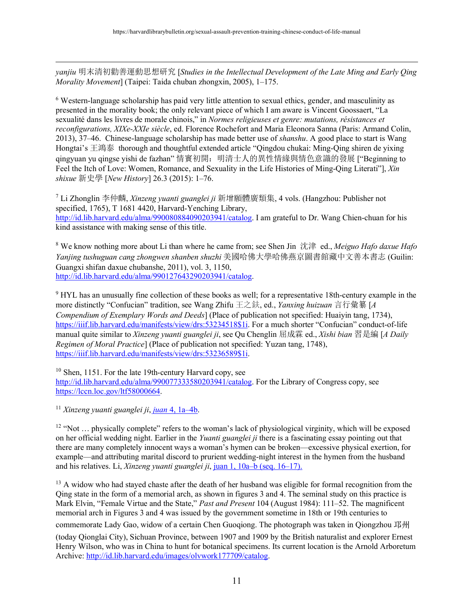*yanjiu* 明末清初勸善運動思想研究 [*Studies in the Intellectual Development of the Late Ming and Early Qing Morality Movement*] (Taipei: Taida chuban zhongxin, 2005), 1–175.

<sup>6</sup> Western-language scholarship has paid very little attention to sexual ethics, gender, and masculinity as presented in the morality book; the only relevant piece of which I am aware is Vincent Goossaert, "La sexualité dans les livres de morale chinois," in *Normes religieuses et genre: mutations, résistances et reconfigurations, XIXe-XXIe siècle*, ed. Florence Rochefort and Maria Eleonora Sanna (Paris: Armand Colin, 2013), 37–46. Chinese-language scholarship has made better use of *shanshu*. A good place to start is Wang Hongtai's 王鴻泰 thorough and thoughtful extended article "Qingdou chukai: Ming-Qing shiren de yixing qingyuan yu qingse yishi de fazhan" 情竇初開: 明清士人的異性情緣與情色意識的發展 ["Beginning to Feel the Itch of Love: Women, Romance, and Sexuality in the Life Histories of Ming-Qing Literati"], *Xin shixue* 新史學 [*New History*] 26.3 (2015): 1–76.

<sup>7</sup> Li Zhonglin 李仲麟, *Xinzeng yuanti guanglei ji* 新增願體廣類集, 4 vols. (Hangzhou: Publisher not specified, 1765), T 1681 4420, Harvard-Yenching Library, http://id.lib.harvard.edu/alma/990080884090203941/catalog. I am grateful to Dr. Wang Chien-chuan for his kind assistance with making sense of this title.

<sup>8</sup> We know nothing more about Li than where he came from; see Shen Jin 沈津 ed., *Meiguo Hafo daxue Hafo Yanjing tushuguan cang zhongwen shanben shuzhi* 美國哈佛大學哈佛燕京圖書館藏中文善本書志 (Guilin: Guangxi shifan daxue chubanshe, 2011), vol. 3, 1150, http://id.lib.harvard.edu/alma/990127643290203941/catalog.

<sup>9</sup> HYL has an unusually fine collection of these books as well; for a representative 18th-century example in the more distinctly "Confucian" tradition, see Wang Zhifu 王之鈇, ed., *Yanxing huizuan* 言行彙纂 [*A Compendium of Exemplary Words and Deeds*] (Place of publication not specified: Huaiyin tang, 1734), https://iiif.lib.harvard.edu/manifests/view/drs:53234518\$1i. For a much shorter "Confucian" conduct-of-life manual quite similar to *Xinzeng yuanti guanglei ji*, see Qu Chenglin 屈成霖 ed., *Xishi bian* 習是編 [*A Daily Regimen of Moral Practice*] (Place of publication not specified: Yuzan tang, 1748), https://iiif.lib.harvard.edu/manifests/view/drs:53236589\$1i.

<sup>10</sup> Shen, 1151. For the late 19th-century Harvard copy, see http://id.lib.harvard.edu/alma/990077333580203941/catalog. For the Library of Congress copy, see https://lccn.loc.gov/ltf58000664.

<sup>11</sup> *Xinzeng yuanti guanglei ji*, *juan* 4, 1a–4b.

 $\overline{a}$ 

<sup>12</sup> "Not ... physically complete" refers to the woman's lack of physiological virginity, which will be exposed on her official wedding night. Earlier in the *Yuanti guanglei ji* there is a fascinating essay pointing out that there are many completely innocent ways a woman's hymen can be broken—excessive physical exertion, for example—and attributing marital discord to prurient wedding-night interest in the hymen from the husband and his relatives. Li, *Xinzeng yuanti guanglei ji*, juan 1, 10a–b (seq. 16–17).

<sup>13</sup> A widow who had stayed chaste after the death of her husband was eligible for formal recognition from the Qing state in the form of a memorial arch, as shown in figures 3 and 4. The seminal study on this practice is Mark Elvin, "Female Virtue and the State," *Past and Present* 104 (August 1984): 111–52. The magnificent memorial arch in Figures 3 and 4 was issued by the government sometime in 18th or 19th centuries to

commemorate Lady Gao, widow of a certain Chen Guoqiong. The photograph was taken in Qiongzhou 邛州

(today Qionglai City), Sichuan Province, between 1907 and 1909 by the British naturalist and explorer Ernest Henry Wilson, who was in China to hunt for botanical specimens. Its current location is the Arnold Arboretum Archive: http://id.lib.harvard.edu/images/olvwork177709/catalog.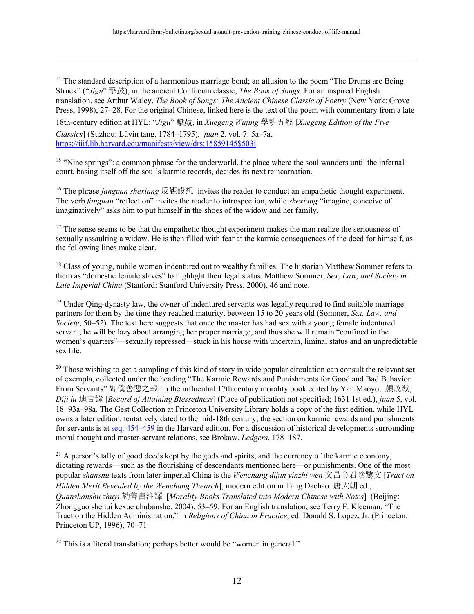<sup>14</sup> The standard description of a harmonious marriage bond; an allusion to the poem "The Drums are Being Struck" ("*Jigu*" 擊鼓), in the ancient Confucian classic, *The Book of Songs*. For an inspired English translation, see Arthur Waley, *The Book of Songs: The Ancient Chinese Classic of Poetry* (New York: Grove Press, 1998), 27–28. For the original Chinese, linked here is the text of the poem with commentary from a late

18th-century edition at HYL: "*Jigu*" 擊⿎, in *Xuegeng Wujing* 學耕五經 [*Xuegeng Edition of the Five* 

*Classics*] (Suzhou: Lüyin tang, 1784–1795), *juan* 2, vol. 7: 5a–7a, https://iiif.lib.harvard.edu/manifests/view/drs:15859145\$503i.

 $\overline{a}$ 

<sup>15</sup> "Nine springs": a common phrase for the underworld, the place where the soul wanders until the infernal court, basing itself off the soul's karmic records, decides its next reincarnation.

<sup>16</sup> The phrase *fanguan shexiang* 反觀設想 invites the reader to conduct an empathetic thought experiment. The verb *fanguan* "reflect on" invites the reader to introspection, while *shexiang* "imagine, conceive of imaginatively" asks him to put himself in the shoes of the widow and her family.

<sup>17</sup> The sense seems to be that the empathetic thought experiment makes the man realize the seriousness of sexually assaulting a widow. He is then filled with fear at the karmic consequences of the deed for himself, as the following lines make clear.

<sup>18</sup> Class of young, nubile women indentured out to wealthy families. The historian Matthew Sommer refers to them as "domestic female slaves" to highlight their legal status. Matthew Sommer, *Sex, Law, and Society in Late Imperial China* (Stanford: Stanford University Press, 2000), 46 and note.

<sup>19</sup> Under Qing-dynasty law, the owner of indentured servants was legally required to find suitable marriage partners for them by the time they reached maturity, between 15 to 20 years old (Sommer, *Sex, Law, and Society*, 50–52). The text here suggests that once the master has had sex with a young female indentured servant, he will be lazy about arranging her proper marriage, and thus she will remain "confined in the women's quarters"—sexually repressed—stuck in his house with uncertain, liminal status and an unpredictable sex life.

<sup>20</sup> Those wishing to get a sampling of this kind of story in wide popular circulation can consult the relevant set of exempla, collected under the heading "The Karmic Rewards and Punishments for Good and Bad Behavior From Servants" 婢僕善惡之報,in the influential 17th century morality book edited by Yan Maoyou 顏茂猷, *Diji lu* 迪吉錄 [*Record of Attaining Blessedness*] (Place of publication not specified; 1631 1st ed.), *juan* 5, vol. 18: 93a–98a. The Gest Collection at Princeton University Library holds a copy of the first edition, while HYL owns a later edition, tentatively dated to the mid-18th century; the section on karmic rewards and punishments for servants is at seq. 454–459 in the Harvard edition. For a discussion of historical developments surrounding moral thought and master-servant relations, see Brokaw, *Ledgers*, 178–187.

 $^{21}$  A person's tally of good deeds kept by the gods and spirits, and the currency of the karmic economy, dictating rewards—such as the flourishing of descendants mentioned here—or punishments. One of the most popular *shanshu* texts from later imperial China is the *Wenchang dijun yinzhi wen* 文昌帝君陰騭文 [*Tract on Hidden Merit Revealed by the Wenchang Thearch*]; modern edition in Tang Dachao 唐大朝 ed., *Quanshanshu zhuyi* 勸善書注譯 [*Morality Books Translated into Modern Chinese with Notes*] (Beijing: Zhongguo shehui kexue chubanshe, 2004), 53–59. For an English translation, see Terry F. Kleeman, "The Tract on the Hidden Administration," in *Religions of China in Practice*, ed. Donald S. Lopez, Jr. (Princeton: Princeton UP, 1996), 70–71.

 $22$  This is a literal translation; perhaps better would be "women in general."